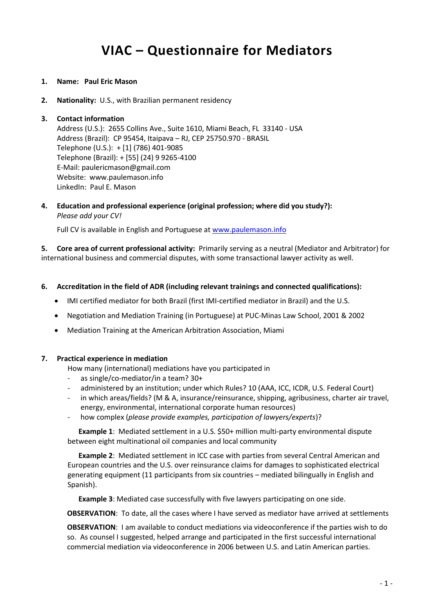# **VIAC – Questionnaire for Mediators**

- **1. Name: Paul Eric Mason**
- **2. Nationality:** U.S., with Brazilian permanent residency

#### **3. Contact information**

Address (U.S.): 2655 Collins Ave., Suite 1610, Miami Beach, FL 33140 - USA Address (Brazil): CP 95454, Itaipava – RJ, CEP 25750.970 - BRASIL Telephone (U.S.): + [1] (786) 401-9085 Telephone (Brazil): + [55] (24) 9 9265-4100 E-Mail: paulericmason@gmail.com Website: www.paulemason.info LinkedIn: Paul E. Mason

**4. Education and professional experience (original profession; where did you study?):** *Please add your CV!*

Full CV is available in English and Portuguese at [www.paulemason.info](http://www.paulemason.info/)

**5. Core area of current professional activity:** Primarily serving as a neutral (Mediator and Arbitrator) for international business and commercial disputes, with some transactional lawyer activity as well.

#### **6. Accreditation in the field of ADR (including relevant trainings and connected qualifications):**

- IMI certified mediator for both Brazil (first IMI-certified mediator in Brazil) and the U.S.
- Negotiation and Mediation Training (in Portuguese) at PUC-Minas Law School, 2001 & 2002
- Mediation Training at the American Arbitration Association, Miami

#### **7. Practical experience in mediation**

- How many (international) mediations have you participated in
- as single/co-mediator/in a team? 30+
- administered by an institution; under which Rules? 10 (AAA, ICC, ICDR, U.S. Federal Court)
- in which areas/fields? (M & A, insurance/reinsurance, shipping, agribusiness, charter air travel, energy, environmental, international corporate human resources)
- how complex (*please provide examples, participation of lawyers/experts*)?

 **Example 1**: Mediated settlement in a U.S. \$50+ million multi-party environmental dispute between eight multinational oil companies and local community

 **Example 2**: Mediated settlement in ICC case with parties from several Central American and European countries and the U.S. over reinsurance claims for damages to sophisticated electrical generating equipment (11 participants from six countries – mediated bilingually in English and Spanish).

 **Example 3**: Mediated case successfully with five lawyers participating on one side.

**OBSERVATION**: To date, all the cases where I have served as mediator have arrived at settlements

**OBSERVATION**: I am available to conduct mediations via videoconference if the parties wish to do so. As counsel I suggested, helped arrange and participated in the first successful international commercial mediation via videoconference in 2006 between U.S. and Latin American parties.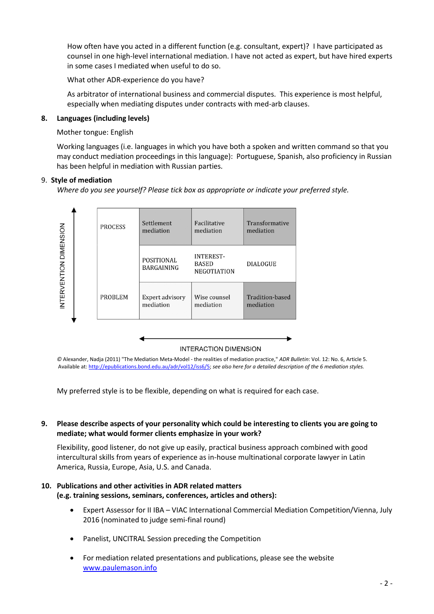How often have you acted in a different function (e.g. consultant, expert)? I have participated as counsel in one high-level international mediation. I have not acted as expert, but have hired experts in some cases I mediated when useful to do so.

What other ADR-experience do you have?

As arbitrator of international business and commercial disputes. This experience is most helpful, especially when mediating disputes under contracts with med-arb clauses.

#### **8. Languages (including levels)**

#### Mother tongue: English

Working languages (i.e. languages in which you have both a spoken and written command so that you may conduct mediation proceedings in this language): Portuguese, Spanish, also proficiency in Russian has been helpful in mediation with Russian parties.

#### 9. **Style of mediation**

*Where do you see yourself? Please tick box as appropriate or indicate your preferred style.*



*©* Alexander, Nadja (2011) "The Mediation Meta-Model - the realities of mediation practice," *ADR Bulletin*: Vol. 12: No. 6, Article 5. Available at[: http://epublications.bond.edu.au/adr/vol12/iss6/5;](http://epublications.bond.edu.au/adr/vol12/iss6/5) *see also here for a detailed description of the 6 mediation styles.*

My preferred style is to be flexible, depending on what is required for each case.

# **9. Please describe aspects of your personality which could be interesting to clients you are going to mediate; what would former clients emphasize in your work?**

Flexibility, good listener, do not give up easily, practical business approach combined with good intercultural skills from years of experience as in-house multinational corporate lawyer in Latin America, Russia, Europe, Asia, U.S. and Canada.

# **10. Publications and other activities in ADR related matters (e.g. training sessions, seminars, conferences, articles and others):**

- Expert Assessor for II IBA VIAC International Commercial Mediation Competition/Vienna, July 2016 (nominated to judge semi-final round)
- Panelist, UNCITRAL Session preceding the Competition
- For mediation related presentations and publications, please see the website [www.paulemason.info](http://www.paulemason.info/)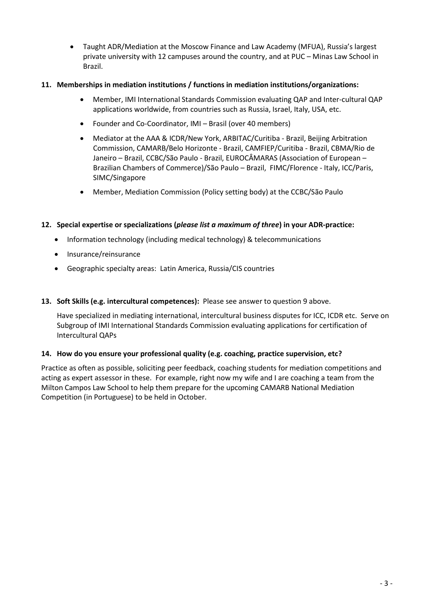Taught ADR/Mediation at the Moscow Finance and Law Academy (MFUA), Russia's largest private university with 12 campuses around the country, and at PUC – Minas Law School in Brazil.

# **11. Memberships in mediation institutions / functions in mediation institutions/organizations:**

- Member, IMI International Standards Commission evaluating QAP and Inter-cultural QAP applications worldwide, from countries such as Russia, Israel, Italy, USA, etc.
- Founder and Co-Coordinator, IMI Brasil (over 40 members)
- Mediator at the AAA & ICDR/New York, ARBITAC/Curitiba Brazil, Beijing Arbitration Commission, CAMARB/Belo Horizonte - Brazil, CAMFIEP/Curitiba - Brazil, CBMA/Rio de Janeiro – Brazil, CCBC/São Paulo - Brazil, EUROCÂMARAS (Association of European – Brazilian Chambers of Commerce)/São Paulo – Brazil, FIMC/Florence - Italy, ICC/Paris, SIMC/Singapore
- Member, Mediation Commission (Policy setting body) at the CCBC/São Paulo

# **12. Special expertise or specializations (***please list a maximum of three***) in your ADR-practice:**

- Information technology (including medical technology) & telecommunications
- Insurance/reinsurance
- Geographic specialty areas: Latin America, Russia/CIS countries

# **13. Soft Skills (e.g. intercultural competences):** Please see answer to question 9 above.

Have specialized in mediating international, intercultural business disputes for ICC, ICDR etc. Serve on Subgroup of IMI International Standards Commission evaluating applications for certification of Intercultural QAPs

# **14. How do you ensure your professional quality (e.g. coaching, practice supervision, etc?**

Practice as often as possible, soliciting peer feedback, coaching students for mediation competitions and acting as expert assessor in these. For example, right now my wife and I are coaching a team from the Milton Campos Law School to help them prepare for the upcoming CAMARB National Mediation Competition (in Portuguese) to be held in October.